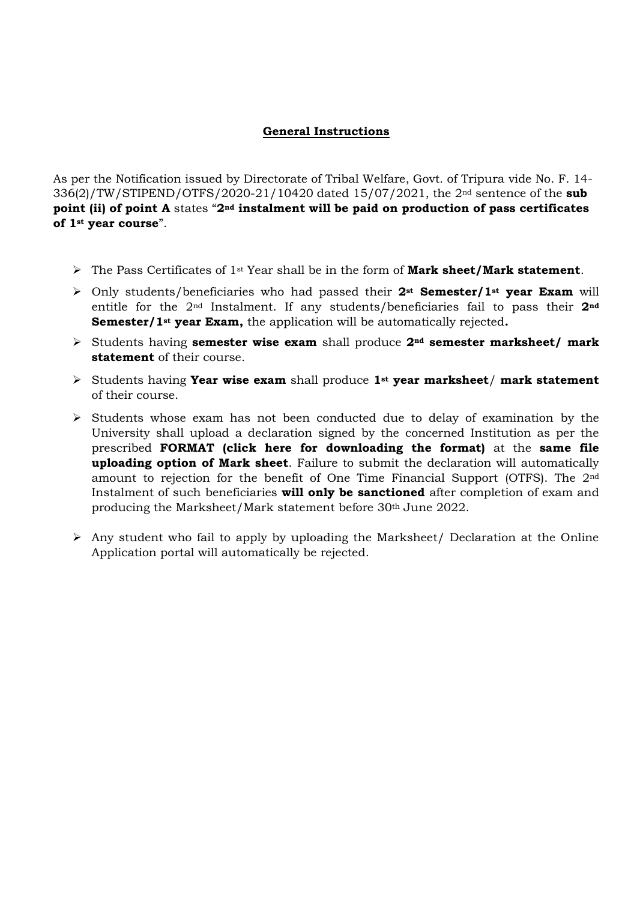## **General Instructions**

As per the Notification issued by Directorate of Tribal Welfare, Govt. of Tripura vide No. F. 14- 336(2)/TW/STIPEND/OTFS/2020-21/10420 dated 15/07/2021, the 2nd sentence of the **sub point (ii) of point A** states "**2nd instalment will be paid on production of pass certificates of 1st year course**".

- The Pass Certificates of 1st Year shall be in the form of **Mark sheet/Mark statement**.
- Only students/beneficiaries who had passed their **2st Semester/1st year Exam** will entitle for the 2nd Instalment. If any students/beneficiaries fail to pass their **2nd Semester/1st year Exam,** the application will be automatically rejected**.**
- Students having **semester wise exam** shall produce **2nd semester marksheet/ mark statement** of their course.
- Students having **Year wise exam** shall produce **1st year marksheet**/ **mark statement** of their course.
- $\triangleright$  Students whose exam has not been conducted due to delay of examination by the University shall upload a declaration signed by the concerned Institution as per the prescribed **FORMAT (click here for downloading the format)** at the **same file uploading option of Mark sheet**. Failure to submit the declaration will automatically amount to rejection for the benefit of One Time Financial Support (OTFS). The 2nd Instalment of such beneficiaries **will only be sanctioned** after completion of exam and producing the Marksheet/Mark statement before 30<sup>th</sup> June 2022.
- $\triangleright$  Any student who fail to apply by uploading the Marksheet/ Declaration at the Online Application portal will automatically be rejected.